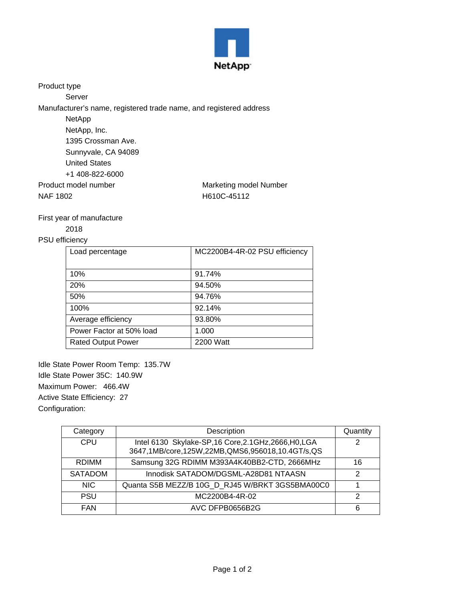

Product type

Server

Manufacturer's name, registered trade name, and registered address

| NetApp               |                        |
|----------------------|------------------------|
| NetApp, Inc.         |                        |
| 1395 Crossman Ave.   |                        |
| Sunnyvale, CA 94089  |                        |
| <b>United States</b> |                        |
| +1 408-822-6000      |                        |
| Product model number | Marketing model Number |
| NAF 1802             | H610C-45112            |
|                      |                        |

## First year of manufacture

## 2018

## PSU efficiency

| Load percentage           | MC2200B4-4R-02 PSU efficiency |
|---------------------------|-------------------------------|
| 10%                       | 91.74%                        |
| <b>20%</b>                | 94.50%                        |
| 50%                       | 94.76%                        |
| 100%                      | 92.14%                        |
| Average efficiency        | 93.80%                        |
| Power Factor at 50% load  | 1.000                         |
| <b>Rated Output Power</b> | 2200 Watt                     |

Idle State Power Room Temp: 135.7W Idle State Power 35C: 140.9W Maximum Power: 466.4W Active State Efficiency: 27 Configuration:

| Category       | Description                                                                                               | Quantity |
|----------------|-----------------------------------------------------------------------------------------------------------|----------|
| <b>CPU</b>     | Intel 6130 Skylake-SP, 16 Core, 2.1 GHz, 2666, H0, LGA<br>3647,1MB/core,125W,22MB,QMS6,956018,10.4GT/s,QS | 2        |
| <b>RDIMM</b>   | Samsung 32G RDIMM M393A4K40BB2-CTD, 2666MHz                                                               | 16       |
| <b>SATADOM</b> | Innodisk SATADOM/DGSML-A28D81 NTAASN                                                                      | 2        |
| NIC.           | Quanta S5B MEZZ/B 10G_D_RJ45 W/BRKT 3GS5BMA00C0                                                           |          |
| <b>PSU</b>     | MC2200B4-4R-02                                                                                            | 2        |
| <b>FAN</b>     | AVC DFPB0656B2G                                                                                           | 6        |